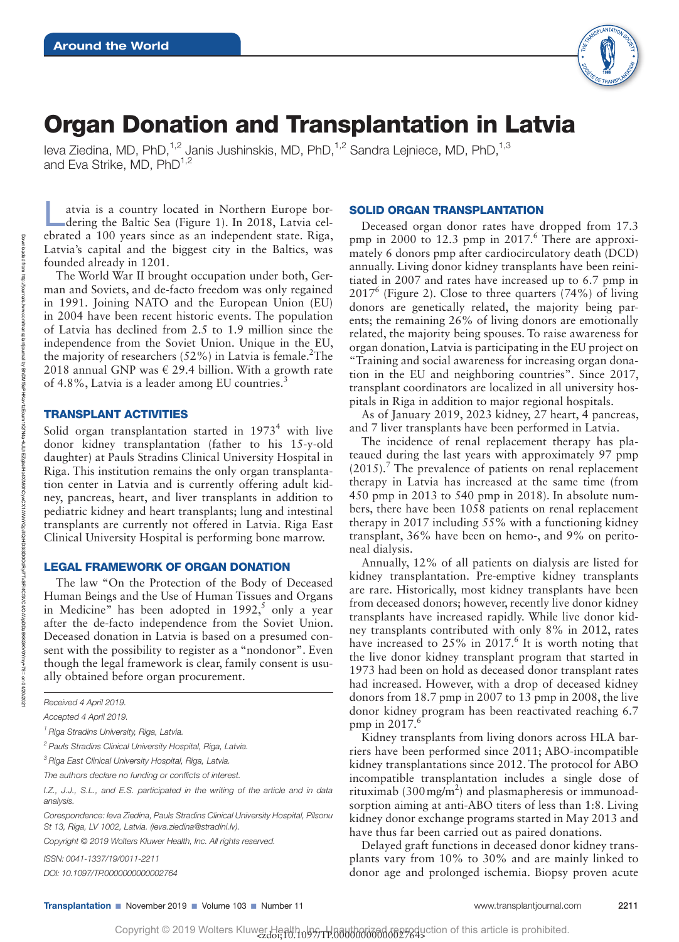

# Organ Donation and Transplantation in Latvia

Ieva Ziedina, MD, PhD,<sup>1,2</sup> Janis Jushinskis, MD, PhD,<sup>1,2</sup> Sandra Leiniece, MD, PhD.<sup>1,3</sup> and Eva Strike,  $MD$ ,  $PhD^{1,2}$ 

atvia is a country located in Northern Europe bordering the Baltic Sea (Figure 1). In 2018, Latvia celebrated a 100 years since as an independent state. Riga, Latvia's capital and the biggest city in the Baltics, was founded already in 1201.

The World War II brought occupation under both, German and Soviets, and de-facto freedom was only regained in 1991. Joining NATO and the European Union (EU) in 2004 have been recent historic events. The population of Latvia has declined from 2.5 to 1.9 million since the independence from the Soviet Union. Unique in the EU, the majority of researchers  $(52\%)$  in Latvia is female.<sup>2</sup>The 2018 annual GNP was  $\in$  29.4 billion. With a growth rate of 4.8%, Latvia is a leader among EU countries.<sup>3</sup>

# TRANSPLANT ACTIVITIES

Solid organ transplantation started in  $1973<sup>4</sup>$  with live donor kidney transplantation (father to his 15-y-old daughter) at Pauls Stradins Clinical University Hospital in Riga. This institution remains the only organ transplantation center in Latvia and is currently offering adult kidney, pancreas, heart, and liver transplants in addition to pediatric kidney and heart transplants; lung and intestinal transplants are currently not offered in Latvia. Riga East Clinical University Hospital is performing bone marrow.

# LEGAL FRAMEWORK OF ORGAN DONATION

The law "On the Protection of the Body of Deceased Human Beings and the Use of Human Tissues and Organs in Medicine" has been adopted in  $1992$ , only a year after the de-facto independence from the Soviet Union. Deceased donation in Latvia is based on a presumed consent with the possibility to register as a "nondonor". Even though the legal framework is clear, family consent is usually obtained before organ procurement.

*DOI: 10.1097/TP.0000000000002764*

#### SOLID ORGAN TRANSPLANTATION

Deceased organ donor rates have dropped from 17.3 pmp in 2000 to 12.3 pmp in  $2017<sup>6</sup>$  There are approximately 6 donors pmp after cardiocirculatory death (DCD) annually. Living donor kidney transplants have been reinitiated in 2007 and rates have increased up to 6.7 pmp in  $2017^6$  (Figure 2). Close to three quarters (74%) of living donors are genetically related, the majority being parents; the remaining 26% of living donors are emotionally related, the majority being spouses. To raise awareness for organ donation, Latvia is participating in the EU project on "Training and social awareness for increasing organ donation in the EU and neighboring countries". Since 2017, transplant coordinators are localized in all university hospitals in Riga in addition to major regional hospitals.

As of January 2019, 2023 kidney, 27 heart, 4 pancreas, and 7 liver transplants have been performed in Latvia.

The incidence of renal replacement therapy has plateaued during the last years with approximately 97 pmp (2015).<sup>7</sup> The prevalence of patients on renal replacement therapy in Latvia has increased at the same time (from 450 pmp in 2013 to 540 pmp in 2018). In absolute numbers, there have been 1058 patients on renal replacement therapy in 2017 including 55% with a functioning kidney transplant, 36% have been on hemo-, and 9% on peritoneal dialysis.

Annually, 12% of all patients on dialysis are listed for kidney transplantation. Pre-emptive kidney transplants are rare. Historically, most kidney transplants have been from deceased donors; however, recently live donor kidney transplants have increased rapidly. While live donor kidney transplants contributed with only 8% in 2012, rates have increased to  $25\%$  in  $2017<sup>6</sup>$  It is worth noting that the live donor kidney transplant program that started in 1973 had been on hold as deceased donor transplant rates had increased. However, with a drop of deceased kidney donors from 18.7 pmp in 2007 to 13 pmp in 2008, the live donor kidney program has been reactivated reaching 6.7 pmp in  $2017$ .<sup>6</sup>

Kidney transplants from living donors across HLA barriers have been performed since 2011; ABO-incompatible kidney transplantations since 2012. The protocol for ABO incompatible transplantation includes a single dose of rituximab (300 mg/m<sup>2</sup>) and plasmapheresis or immunoadsorption aiming at anti-ABO titers of less than 1:8. Living kidney donor exchange programs started in May 2013 and have thus far been carried out as paired donations.

Delayed graft functions in deceased donor kidney transplants vary from 10% to 30% and are mainly linked to donor age and prolonged ischemia. Biopsy proven acute

*Received 4 April 2019.* 

*Accepted 4 April 2019.*

*<sup>1</sup> Riga Stradins University, Riga, Latvia.*

*<sup>2</sup> Pauls Stradins Clinical University Hospital, Riga, Latvia.*

*<sup>3</sup> Riga East Clinical University Hospital, Riga, Latvia.*

*The authors declare no funding or conflicts of interest.*

*I.Z., J.J., S.L., and E.S. participated in the writing of the article and in data analysis.*

*Corespondence: Ieva Ziedina, Pauls Stradins Clinical University Hospital, Pilsonu St 13, Riga, LV 1002, Latvia. [\(ieva.ziedina@stradini.lv\)](mailto:ieva.ziedina@stradini.lv).*

*Copyright © 2019 Wolters Kluwer Health, Inc. All rights reserved.*

*ISSN: 0041-1337/19/0011-2211*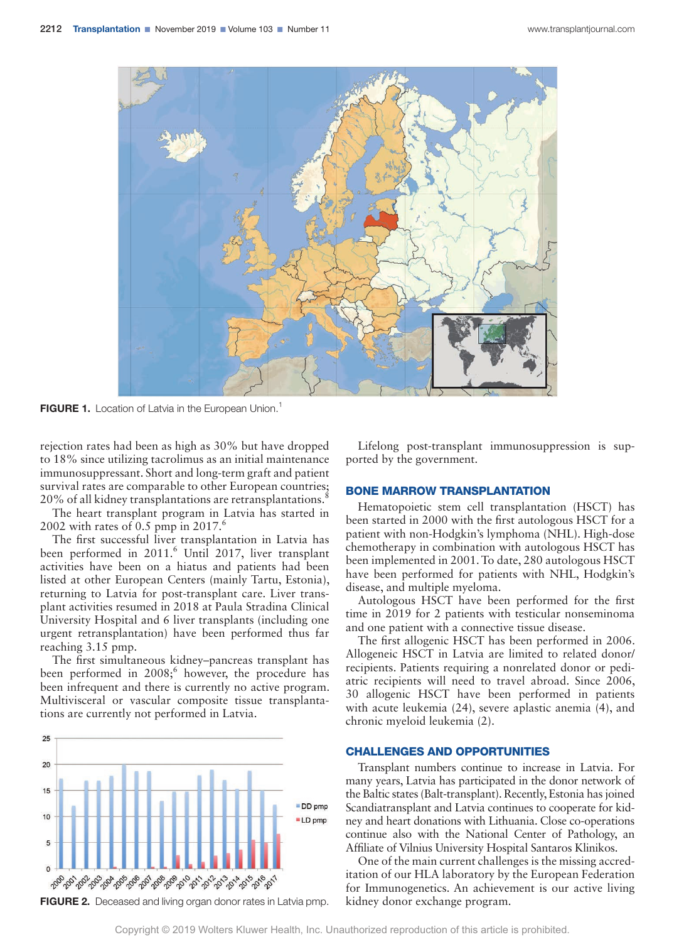

**FIGURE 1.** Location of Latvia in the European Union.<sup>1</sup>

rejection rates had been as high as 30% but have dropped to 18% since utilizing tacrolimus as an initial maintenance immunosuppressant. Short and long-term graft and patient survival rates are comparable to other European countries; 20% of all kidney transplantations are retransplantations.<sup>8</sup>

The heart transplant program in Latvia has started in 2002 with rates of 0.5 pmp in  $2017<sup>6</sup>$ 

The first successful liver transplantation in Latvia has been performed in 2011.<sup>6</sup> Until 2017, liver transplant activities have been on a hiatus and patients had been listed at other European Centers (mainly Tartu, Estonia), returning to Latvia for post-transplant care. Liver transplant activities resumed in 2018 at Paula Stradina Clinical University Hospital and 6 liver transplants (including one urgent retransplantation) have been performed thus far reaching 3.15 pmp.

The first simultaneous kidney–pancreas transplant has been performed in  $2008$ ; however, the procedure has been infrequent and there is currently no active program. Multivisceral or vascular composite tissue transplantations are currently not performed in Latvia.



FIGURE 2. Deceased and living organ donor rates in Latvia pmp. kidney donor exchange program.

Lifelong post-transplant immunosuppression is supported by the government.

#### BONE MARROW TRANSPLANTATION

Hematopoietic stem cell transplantation (HSCT) has been started in 2000 with the first autologous HSCT for a patient with non-Hodgkin's lymphoma (NHL). High-dose chemotherapy in combination with autologous HSCT has been implemented in 2001. To date, 280 autologous HSCT have been performed for patients with NHL, Hodgkin's disease, and multiple myeloma.

Autologous HSCT have been performed for the first time in 2019 for 2 patients with testicular nonseminoma and one patient with a connective tissue disease.

The first allogenic HSCT has been performed in 2006. Allogeneic HSCT in Latvia are limited to related donor/ recipients. Patients requiring a nonrelated donor or pediatric recipients will need to travel abroad. Since 2006, 30 allogenic HSCT have been performed in patients with acute leukemia (24), severe aplastic anemia (4), and chronic myeloid leukemia (2).

## CHALLENGES AND OPPORTUNITIES

Transplant numbers continue to increase in Latvia. For many years, Latvia has participated in the donor network of the Baltic states (Balt-transplant). Recently, Estonia has joined Scandiatransplant and Latvia continues to cooperate for kidney and heart donations with Lithuania. Close co-operations continue also with the National Center of Pathology, an Affiliate of Vilnius University Hospital Santaros Klinikos.

One of the main current challenges is the missing accreditation of our HLA laboratory by the European Federation for Immunogenetics. An achievement is our active living

Copyright © 2019 Wolters Kluwer Health, Inc. Unauthorized reproduction of this article is prohibited.